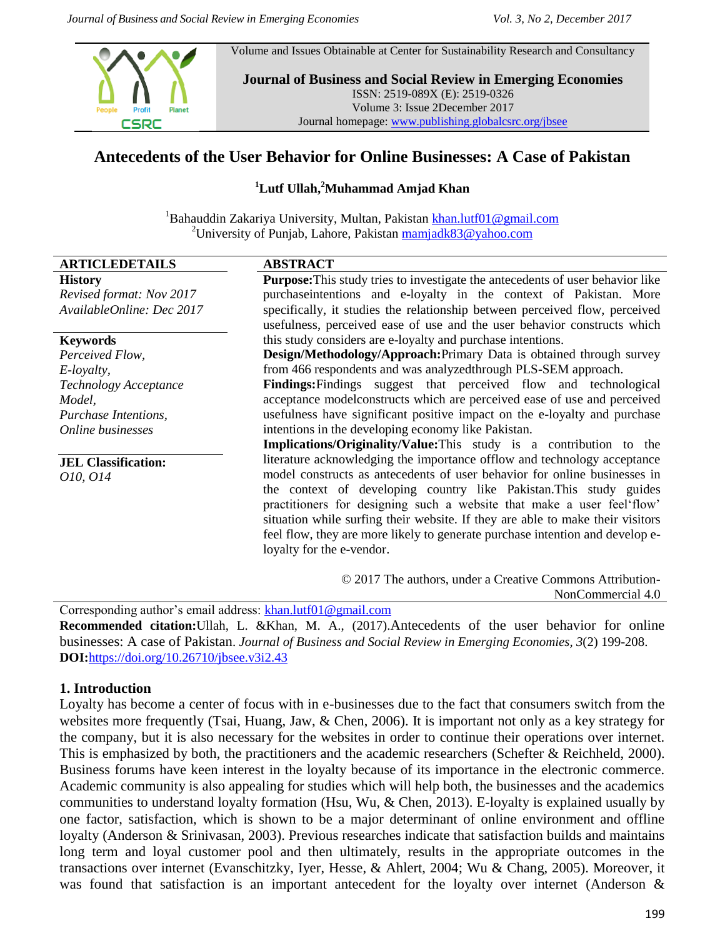Volume and Issues Obtainable at Center for Sustainability Research and Consultancy



**Journal of Business and Social Review in Emerging Economies** ISSN: 2519-089X (E): 2519-0326 Volume 3: Issue 2December 2017 Journal homepage: [www.publishing.globalcsrc.org/jbsee](http://www.publishing.globalcsrc.org/jbsee)

# **Antecedents of the User Behavior for Online Businesses: A Case of Pakistan**

#### **<sup>1</sup>Lutf Ullah, <sup>2</sup>Muhammad Amjad Khan**

<sup>1</sup>Bahauddin Zakariya University, Multan, Pakistan khan.lutf $01@g$ mail.com <sup>2</sup>University of Punjab, Lahore, Pakistan  $\frac{\text{mamiadk83@yahoo.com}}{}$ 

| <b>ARTICLEDETAILS</b>      | <b>ABSTRACT</b>                                                                       |  |  |  |  |
|----------------------------|---------------------------------------------------------------------------------------|--|--|--|--|
| <b>History</b>             | <b>Purpose:</b> This study tries to investigate the antecedents of user behavior like |  |  |  |  |
| Revised format: Nov 2017   | purchase intentions and e-loyalty in the context of Pakistan. More                    |  |  |  |  |
| AvailableOnline: Dec 2017  | specifically, it studies the relationship between perceived flow, perceived           |  |  |  |  |
|                            | usefulness, perceived ease of use and the user behavior constructs which              |  |  |  |  |
| <b>Keywords</b>            | this study considers are e-loyalty and purchase intentions.                           |  |  |  |  |
| Perceived Flow,            | Design/Methodology/Approach: Primary Data is obtained through survey                  |  |  |  |  |
| E-loyalty,                 | from 466 respondents and was analyzed through PLS-SEM approach.                       |  |  |  |  |
| Technology Acceptance      | <b>Findings:</b> Findings suggest that perceived flow and technological               |  |  |  |  |
| Model,                     | acceptance modelconstructs which are perceived ease of use and perceived              |  |  |  |  |
| Purchase Intentions,       | usefulness have significant positive impact on the e-loyalty and purchase             |  |  |  |  |
| Online businesses          | intentions in the developing economy like Pakistan.                                   |  |  |  |  |
|                            | <b>Implications/Originality/Value:</b> This study is a contribution to the            |  |  |  |  |
| <b>JEL Classification:</b> | literature acknowledging the importance offlow and technology acceptance              |  |  |  |  |
| 010, 014                   | model constructs as antecedents of user behavior for online businesses in             |  |  |  |  |
|                            | the context of developing country like Pakistan. This study guides                    |  |  |  |  |
|                            | practitioners for designing such a website that make a user feel flow'                |  |  |  |  |
|                            | situation while surfing their website. If they are able to make their visitors        |  |  |  |  |
|                            | feel flow, they are more likely to generate purchase intention and develop e-         |  |  |  |  |
|                            | loyalty for the e-vendor.                                                             |  |  |  |  |
|                            | © 2017 The authors, under a Creative Commons Attribution-                             |  |  |  |  |
|                            | NonCommercial 4.0                                                                     |  |  |  |  |

Corresponding author"s email address: [khan.lutf01@gmail.com](mailto:khan.lutf01@gmail.com) **Recommended citation:**Ullah, L. &Khan, M. A., (2017).Antecedents of the user behavior for online businesses: A case of Pakistan. *Journal of Business and Social Review in Emerging Economies, 3*(2) 199-208. **DOI:**<https://doi.org/10.26710/jbsee.v3i2.43>

#### **1. Introduction**

Loyalty has become a center of focus with in e-businesses due to the fact that consumers switch from the websites more frequently [\(Tsai, Huang, Jaw, & Chen, 2006\)](#page-9-0). It is important not only as a key strategy for the company, but it is also necessary for the websites in order to continue their operations over internet. This is emphasized by both, the practitioners and the academic researchers [\(Schefter & Reichheld, 2000\)](#page-9-1). Business forums have keen interest in the loyalty because of its importance in the electronic commerce. Academic community is also appealing for studies which will help both, the businesses and the academics communities to understand loyalty formation [\(Hsu, Wu, & Chen, 2013\)](#page-8-0). E-loyalty is explained usually by one factor, satisfaction, which is shown to be a major determinant of online environment and offline loyalty [\(Anderson & Srinivasan, 2003\)](#page-7-0). Previous researches indicate that satisfaction builds and maintains long term and loyal customer pool and then ultimately, results in the appropriate outcomes in the transactions over internet [\(Evanschitzky, Iyer, Hesse, & Ahlert, 2004;](#page-8-1) [Wu & Chang, 2005\)](#page-9-2). Moreover, it was found that satisfaction is an important antecedent for the loyalty over internet [\(Anderson &](#page-7-0)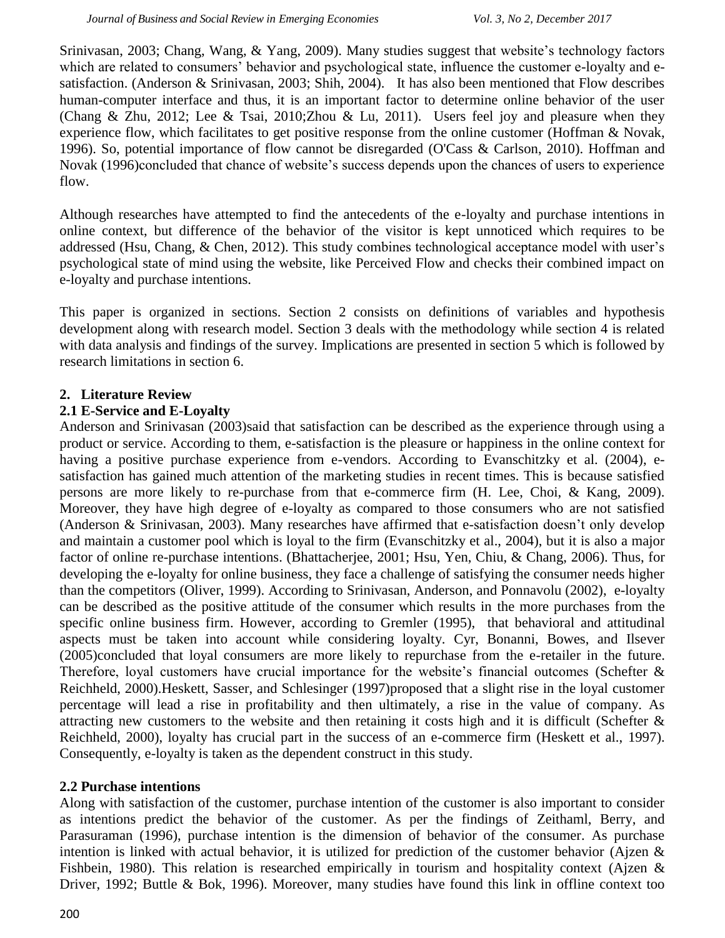[Srinivasan, 2003;](#page-7-0) [Chang, Wang, & Yang, 2009\)](#page-7-1). Many studies suggest that website"s technology factors which are related to consumers' behavior and psychological state, influence the customer e-loyalty and esatisfaction. [\(Anderson & Srinivasan, 2003;](#page-7-0) [Shih, 2004\)](#page-9-3). It has also been mentioned that Flow describes human-computer interface and thus, it is an important factor to determine online behavior of the user [\(Chang & Zhu, 2012;](#page-7-2) [Lee & Tsai, 2010;](#page-9-4)[Zhou & Lu, 2011\)](#page-9-5). Users feel joy and pleasure when they experience flow, which facilitates to get positive response from the online customer [\(Hoffman & Novak,](#page-8-2)  [1996\)](#page-8-2). So, potential importance of flow cannot be disregarded [\(O'Cass & Carlson, 2010\)](#page-9-6). [Hoffman and](#page-8-2)  Novak (1996)concluded that chance of website's success depends upon the chances of users to experience flow.

Although researches have attempted to find the antecedents of the e-loyalty and purchase intentions in online context, but difference of the behavior of the visitor is kept unnoticed which requires to be addressed [\(Hsu, Chang, & Chen, 2012\)](#page-8-3). This study combines technological acceptance model with user's psychological state of mind using the website, like Perceived Flow and checks their combined impact on e-loyalty and purchase intentions.

This paper is organized in sections. Section 2 consists on definitions of variables and hypothesis development along with research model. Section 3 deals with the methodology while section 4 is related with data analysis and findings of the survey. Implications are presented in section 5 which is followed by research limitations in section 6.

### **2. Literature Review**

### **2.1 E-Service and E-Loyalty**

[Anderson and Srinivasan \(2003\)s](#page-7-0)aid that satisfaction can be described as the experience through using a product or service. According to them, e-satisfaction is the pleasure or happiness in the online context for having a positive purchase experience from e-vendors. According to [Evanschitzky et al. \(2004\),](#page-8-1) esatisfaction has gained much attention of the marketing studies in recent times. This is because satisfied persons are more likely to re-purchase from that e-commerce firm [\(H. Lee, Choi, & Kang, 2009\)](#page-9-7). Moreover, they have high degree of e-loyalty as compared to those consumers who are not satisfied [\(Anderson & Srinivasan, 2003\)](#page-7-0). Many researches have affirmed that e-satisfaction doesn"t only develop and maintain a customer pool which is loyal to the firm [\(Evanschitzky et al., 2004\)](#page-8-1), but it is also a major factor of online re-purchase intentions. [\(Bhattacherjee, 2001;](#page-7-3) [Hsu, Yen, Chiu, & Chang, 2006\)](#page-8-4). Thus, for developing the e-loyalty for online business, they face a challenge of satisfying the consumer needs higher than the competitors [\(Oliver, 1999\)](#page-9-8). According to [Srinivasan, Anderson, and Ponnavolu \(2002\),](#page-9-9) e-loyalty can be described as the positive attitude of the consumer which results in the more purchases from the specific online business firm. However, according to [Gremler \(1995\),](#page-8-5) that behavioral and attitudinal aspects must be taken into account while considering loyalty. [Cyr, Bonanni, Bowes, and Ilsever](#page-8-6)  (2005)concluded that loyal consumers are more likely to repurchase from the e-retailer in the future. Therefore, loyal customers have crucial importance for the website's financial outcomes (Schefter  $\&$ [Reichheld, 2000\)](#page-9-1)[.Heskett, Sasser, and Schlesinger \(1997\)p](#page-8-7)roposed that a slight rise in the loyal customer percentage will lead a rise in profitability and then ultimately, a rise in the value of company. As attracting new customers to the website and then retaining it costs high and it is difficult (Schefter  $\&$ [Reichheld, 2000\)](#page-9-1), loyalty has crucial part in the success of an e-commerce firm [\(Heskett et al., 1997\)](#page-8-7). Consequently, e-loyalty is taken as the dependent construct in this study.

#### **2.2 Purchase intentions**

Along with satisfaction of the customer, purchase intention of the customer is also important to consider as intentions predict the behavior of the customer. As per the findings of [Zeithaml, Berry, and](#page-9-10)  Parasuraman (1996), purchase intention is the dimension of behavior of the consumer. As purchase intention is linked with actual behavior, it is utilized for prediction of the customer behavior [\(Ajzen &](#page-7-4)  [Fishbein, 1980\)](#page-7-4). This relation is researched empirically in tourism and hospitality context (Aizen & [Driver, 1992;](#page-7-5) [Buttle & Bok, 1996\)](#page-7-6). Moreover, many studies have found this link in offline context too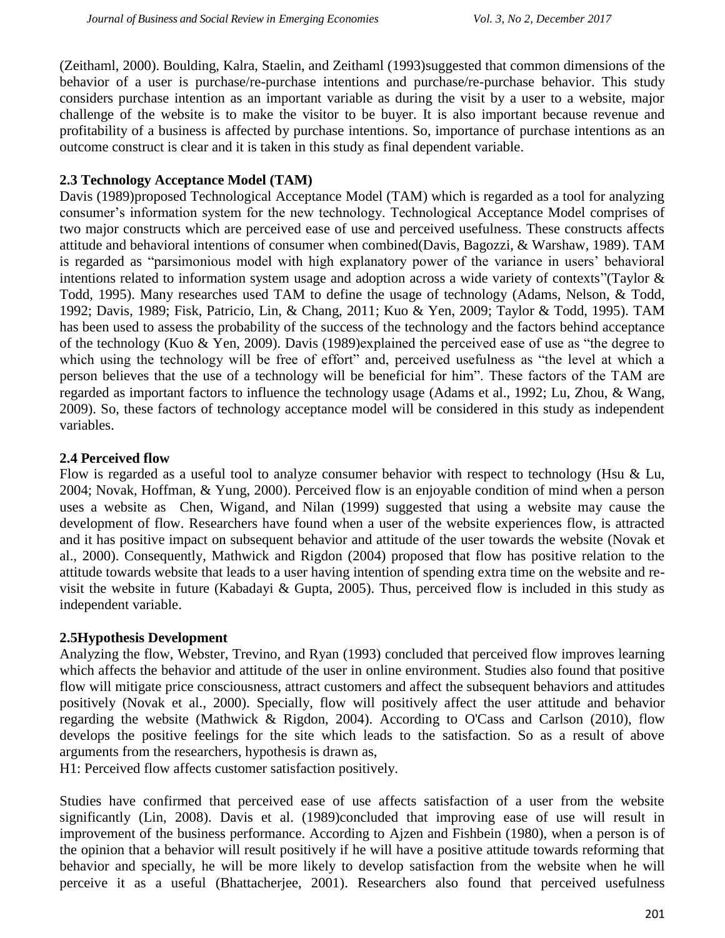[\(Zeithaml, 2000\)](#page-9-11). [Boulding, Kalra, Staelin, and Zeithaml \(1993\)s](#page-7-7)uggested that common dimensions of the behavior of a user is purchase/re-purchase intentions and purchase/re-purchase behavior. This study considers purchase intention as an important variable as during the visit by a user to a website, major challenge of the website is to make the visitor to be buyer. It is also important because revenue and profitability of a business is affected by purchase intentions. So, importance of purchase intentions as an outcome construct is clear and it is taken in this study as final dependent variable.

### **2.3 Technology Acceptance Model (TAM)**

[Davis \(1989\)p](#page-8-8)roposed Technological Acceptance Model (TAM) which is regarded as a tool for analyzing consumer"s information system for the new technology. Technological Acceptance Model comprises of two major constructs which are perceived ease of use and perceived usefulness. These constructs affects attitude and behavioral intentions of consumer when combined[\(Davis, Bagozzi, & Warshaw, 1989\)](#page-8-9). TAM is regarded as "parsimonious model with high explanatory power of the variance in users' behavioral intentions related to information system usage and adoption across a wide variety of contexts"[\(Taylor &](#page-9-12)  [Todd, 1995\)](#page-9-12). Many researches used TAM to define the usage of technology [\(Adams, Nelson, & Todd,](#page-7-8)  [1992;](#page-7-8) [Davis, 1989;](#page-8-8) [Fisk, Patricio, Lin, & Chang, 2011;](#page-8-10) [Kuo & Yen, 2009;](#page-8-11) [Taylor & Todd, 1995\)](#page-9-12). TAM has been used to assess the probability of the success of the technology and the factors behind acceptance of the technology [\(Kuo & Yen, 2009\)](#page-8-11). [Davis \(1989\)e](#page-8-8)xplained the perceived ease of use as "the degree to which using the technology will be free of effort" and, perceived usefulness as "the level at which a person believes that the use of a technology will be beneficial for him". These factors of the TAM are regarded as important factors to influence the technology usage [\(Adams et al., 1992;](#page-7-8) [Lu, Zhou, & Wang,](#page-9-13)  [2009\)](#page-9-13). So, these factors of technology acceptance model will be considered in this study as independent variables.

#### **2.4 Perceived flow**

Flow is regarded as a useful tool to analyze consumer behavior with respect to technology [\(Hsu & Lu,](#page-8-12)  [2004;](#page-8-12) [Novak, Hoffman, & Yung, 2000\)](#page-9-14). Perceived flow is an enjoyable condition of mind when a person uses a website as [Chen, Wigand, and Nilan \(1999\)](#page-7-9) suggested that using a website may cause the development of flow. Researchers have found when a user of the website experiences flow, is attracted and it has positive impact on subsequent behavior and attitude of the user towards the website [\(Novak et](#page-9-14)  [al., 2000\)](#page-9-14). Consequently, [Mathwick and Rigdon \(2004\)](#page-9-15) proposed that flow has positive relation to the attitude towards website that leads to a user having intention of spending extra time on the website and revisit the website in future [\(Kabadayi & Gupta, 2005\)](#page-8-13). Thus, perceived flow is included in this study as independent variable.

#### **2.5Hypothesis Development**

Analyzing the flow, [Webster, Trevino, and Ryan \(1993\)](#page-9-16) concluded that perceived flow improves learning which affects the behavior and attitude of the user in online environment. Studies also found that positive flow will mitigate price consciousness, attract customers and affect the subsequent behaviors and attitudes positively [\(Novak et al., 2000\)](#page-9-14). Specially, flow will positively affect the user attitude and behavior regarding the website [\(Mathwick & Rigdon, 2004\)](#page-9-15). According to [O'Cass and Carlson \(2010\),](#page-9-6) flow develops the positive feelings for the site which leads to the satisfaction. So as a result of above arguments from the researchers, hypothesis is drawn as,

H1: Perceived flow affects customer satisfaction positively.

Studies have confirmed that perceived ease of use affects satisfaction of a user from the website significantly [\(Lin, 2008\)](#page-9-17). [Davis et al. \(1989\)c](#page-8-9)oncluded that improving ease of use will result in improvement of the business performance. According to [Ajzen and Fishbein \(1980\),](#page-7-4) when a person is of the opinion that a behavior will result positively if he will have a positive attitude towards reforming that behavior and specially, he will be more likely to develop satisfaction from the website when he will perceive it as a useful [\(Bhattacherjee, 2001\)](#page-7-3). Researchers also found that perceived usefulness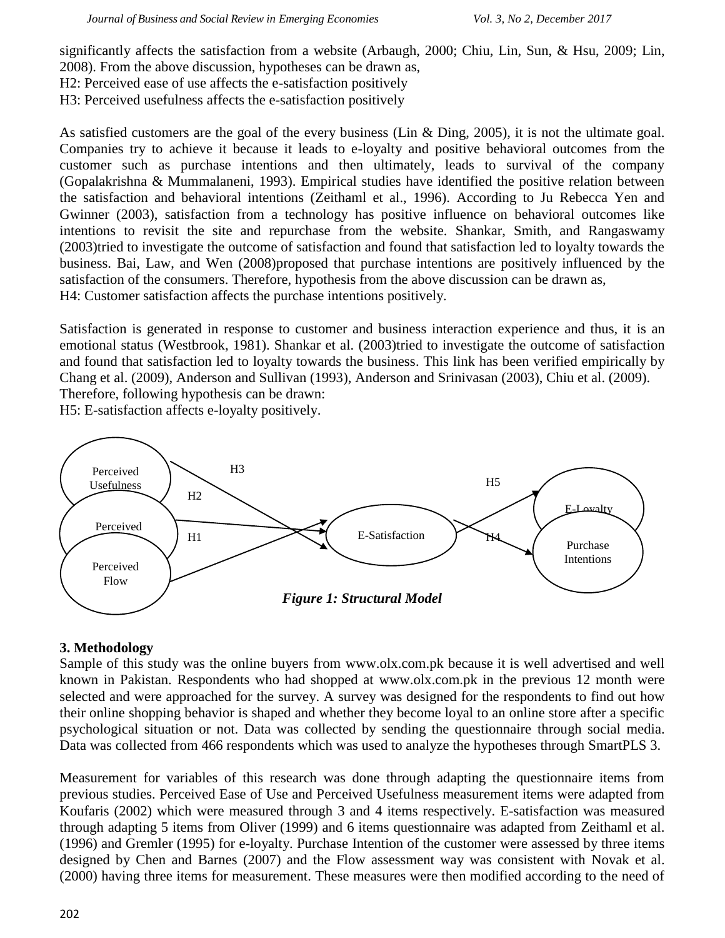significantly affects the satisfaction from a website [\(Arbaugh, 2000;](#page-7-10) [Chiu, Lin, Sun, & Hsu, 2009;](#page-8-14) [Lin,](#page-9-17)  [2008\)](#page-9-17). From the above discussion, hypotheses can be drawn as,

H2: Perceived ease of use affects the e-satisfaction positively

H3: Perceived usefulness affects the e-satisfaction positively

As satisfied customers are the goal of the every business [\(Lin & Ding, 2005\)](#page-9-18), it is not the ultimate goal. Companies try to achieve it because it leads to e-loyalty and positive behavioral outcomes from the customer such as purchase intentions and then ultimately, leads to survival of the company [\(Gopalakrishna & Mummalaneni, 1993\)](#page-8-15). Empirical studies have identified the positive relation between the satisfaction and behavioral intentions [\(Zeithaml et al., 1996\)](#page-9-10). According to [Ju Rebecca Yen and](#page-8-16)  Gwinner (2003), satisfaction from a technology has positive influence on behavioral outcomes like intentions to revisit the site and repurchase from the website. [Shankar, Smith, and Rangaswamy](#page-9-19)  (2003)tried to investigate the outcome of satisfaction and found that satisfaction led to loyalty towards the business. [Bai, Law, and Wen \(2008\)p](#page-7-11)roposed that purchase intentions are positively influenced by the satisfaction of the consumers. Therefore, hypothesis from the above discussion can be drawn as, H4: Customer satisfaction affects the purchase intentions positively.

Satisfaction is generated in response to customer and business interaction experience and thus, it is an emotional status [\(Westbrook, 1981\)](#page-9-20). [Shankar et al. \(2003\)t](#page-9-19)ried to investigate the outcome of satisfaction and found that satisfaction led to loyalty towards the business. This link has been verified empirically by [Chang et al. \(2009\),](#page-7-1) [Anderson and Sullivan \(1993\),](#page-7-12) [Anderson and Srinivasan \(2003\),](#page-7-0) [Chiu et al. \(2009\).](#page-8-14) Therefore, following hypothesis can be drawn:

H5: E-satisfaction affects e-loyalty positively.



## **3. Methodology**

Sample of this study was the online buyers from [www.olx.com.pk](http://www.olx.com.pk/) because it is well advertised and well known in Pakistan. Respondents who had shopped at [www.olx.com.pk](http://www.olx.com.pk/) in the previous 12 month were selected and were approached for the survey. A survey was designed for the respondents to find out how their online shopping behavior is shaped and whether they become loyal to an online store after a specific psychological situation or not. Data was collected by sending the questionnaire through social media. Data was collected from 466 respondents which was used to analyze the hypotheses through SmartPLS 3.

Measurement for variables of this research was done through adapting the questionnaire items from previous studies. Perceived Ease of Use and Perceived Usefulness measurement items were adapted from [Koufaris \(2002\)](#page-8-17) which were measured through 3 and 4 items respectively. E-satisfaction was measured through adapting 5 items from [Oliver \(1999\)](#page-9-8) and 6 items questionnaire was adapted from [Zeithaml et al.](#page-9-10)  (1996) and [Gremler \(1995\)](#page-8-5) for e-loyalty. Purchase Intention of the customer were assessed by three items designed by [Chen and Barnes \(2007\)](#page-8-18) and the Flow assessment way was consistent with [Novak et al.](#page-9-14)  (2000) having three items for measurement. These measures were then modified according to the need of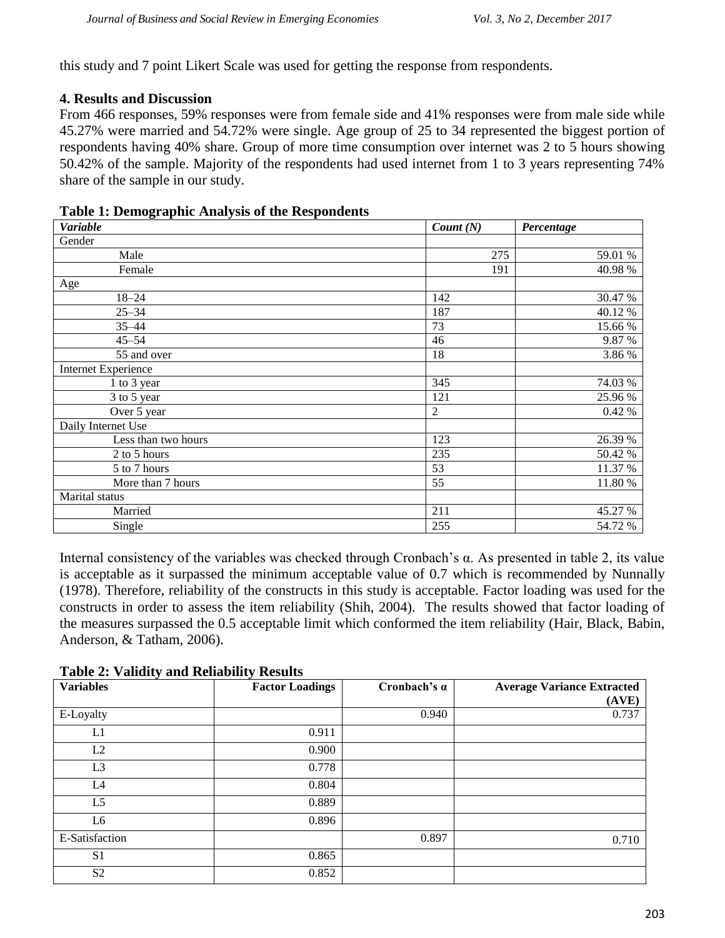this study and 7 point Likert Scale was used for getting the response from respondents.

### **4. Results and Discussion**

From 466 responses, 59% responses were from female side and 41% responses were from male side while 45.27% were married and 54.72% were single. Age group of 25 to 34 represented the biggest portion of respondents having 40% share. Group of more time consumption over internet was 2 to 5 hours showing 50.42% of the sample. Majority of the respondents had used internet from 1 to 3 years representing 74% share of the sample in our study.

| <b>Variable</b>            | Count(N)       | Percentage |
|----------------------------|----------------|------------|
| Gender                     |                |            |
| Male                       | 275            | 59.01 %    |
| Female                     | 191            | 40.98%     |
| Age                        |                |            |
| $18 - 24$                  | 142            | 30.47 %    |
| $25 - 34$                  | 187            | 40.12%     |
| $35 - 44$                  | 73             | 15.66 %    |
| $45 - 54$                  | 46             | 9.87%      |
| 55 and over                | 18             | 3.86 %     |
| <b>Internet Experience</b> |                |            |
| 1 to 3 year                | 345            | 74.03 %    |
| 3 to 5 year                | 121            | 25.96%     |
| Over 5 year                | $\overline{2}$ | 0.42 %     |
| Daily Internet Use         |                |            |
| Less than two hours        | 123            | 26.39 %    |
| 2 to 5 hours               | 235            | 50.42 %    |
| 5 to 7 hours               | 53             | 11.37 %    |
| More than 7 hours          | 55             | 11.80 %    |
| Marital status             |                |            |
| Married                    | 211            | 45.27 %    |
| Single                     | 255            | 54.72 %    |

#### **Table 1: Demographic Analysis of the Respondents**

Internal consistency of the variables was checked through Cronbach"s α. As presented in table 2, its value is acceptable as it surpassed the minimum acceptable value of 0.7 which is recommended by [Nunnally](#page-9-21)  (1978). Therefore, reliability of the constructs in this study is acceptable. Factor loading was used for the constructs in order to assess the item reliability [\(Shih, 2004\)](#page-9-3). The results showed that factor loading of the measures surpassed the 0.5 acceptable limit which conformed the item reliability [\(Hair, Black, Babin,](#page-8-19)  [Anderson, & Tatham, 2006\)](#page-8-19).

| $\overline{\phantom{a}}$<br><b>Variables</b> | ັ<br><b>Factor Loadings</b> | Cronbach's $\alpha$ | <b>Average Variance Extracted</b> |
|----------------------------------------------|-----------------------------|---------------------|-----------------------------------|
|                                              |                             |                     | (AVE)                             |
| E-Loyalty                                    |                             | 0.940               | 0.737                             |
| L1                                           | 0.911                       |                     |                                   |
| L2                                           | 0.900                       |                     |                                   |
| L <sub>3</sub>                               | 0.778                       |                     |                                   |
| L4                                           | 0.804                       |                     |                                   |
| L <sub>5</sub>                               | 0.889                       |                     |                                   |
| L6                                           | 0.896                       |                     |                                   |
| E-Satisfaction                               |                             | 0.897               | 0.710                             |
| S <sub>1</sub>                               | 0.865                       |                     |                                   |
| S <sub>2</sub>                               | 0.852                       |                     |                                   |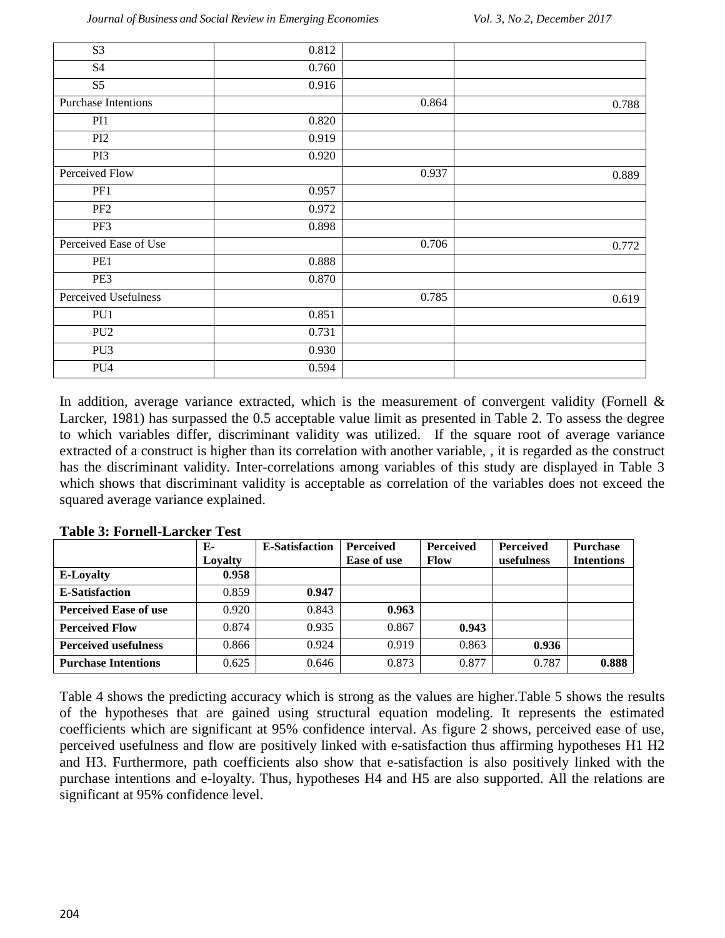| $\overline{S3}$            | 0.812 |       |       |
|----------------------------|-------|-------|-------|
| S4                         | 0.760 |       |       |
| S5                         | 0.916 |       |       |
| <b>Purchase Intentions</b> |       | 0.864 | 0.788 |
| PI1                        | 0.820 |       |       |
| PI <sub>2</sub>            | 0.919 |       |       |
| PI3                        | 0.920 |       |       |
| Perceived Flow             |       | 0.937 | 0.889 |
| PF1                        | 0.957 |       |       |
| PF <sub>2</sub>            | 0.972 |       |       |
| PF3                        | 0.898 |       |       |
| Perceived Ease of Use      |       | 0.706 | 0.772 |
| PE1                        | 0.888 |       |       |
| PE3                        | 0.870 |       |       |
| Perceived Usefulness       |       | 0.785 | 0.619 |
| PU1                        | 0.851 |       |       |
| PU <sub>2</sub>            | 0.731 |       |       |
| PU <sub>3</sub>            | 0.930 |       |       |
| PU <sub>4</sub>            | 0.594 |       |       |

In addition, average variance extracted, which is the measurement of convergent validity (Fornell & [Larcker, 1981\)](#page-8-20) has surpassed the 0.5 acceptable value limit as presented in Table 2. To assess the degree to which variables differ, discriminant validity was utilized. If the square root of average variance extracted of a construct is higher than its correlation with another variable, , it is regarded as the construct has the discriminant validity. Inter-correlations among variables of this study are displayed in Table 3 which shows that discriminant validity is acceptable as correlation of the variables does not exceed the squared average variance explained.

|                              | Е-      | <b>E-Satisfaction</b> | <b>Perceived</b> | <b>Perceived</b> | <b>Perceived</b> | <b>Purchase</b>   |
|------------------------------|---------|-----------------------|------------------|------------------|------------------|-------------------|
|                              | Lovalty |                       | Ease of use      | <b>Flow</b>      | usefulness       | <b>Intentions</b> |
| <b>E-Loyalty</b>             | 0.958   |                       |                  |                  |                  |                   |
| <b>E-Satisfaction</b>        | 0.859   | 0.947                 |                  |                  |                  |                   |
| <b>Perceived Ease of use</b> | 0.920   | 0.843                 | 0.963            |                  |                  |                   |
| <b>Perceived Flow</b>        | 0.874   | 0.935                 | 0.867            | 0.943            |                  |                   |
| <b>Perceived usefulness</b>  | 0.866   | 0.924                 | 0.919            | 0.863            | 0.936            |                   |
| <b>Purchase Intentions</b>   | 0.625   | 0.646                 | 0.873            | 0.877            | 0.787            | 0.888             |

**Table 3: Fornell-Larcker Test**

Table 4 shows the predicting accuracy which is strong as the values are higher.Table 5 shows the results of the hypotheses that are gained using structural equation modeling. It represents the estimated coefficients which are significant at 95% confidence interval. As figure 2 shows, perceived ease of use, perceived usefulness and flow are positively linked with e-satisfaction thus affirming hypotheses H1 H2 and H3. Furthermore, path coefficients also show that e-satisfaction is also positively linked with the purchase intentions and e-loyalty. Thus, hypotheses H4 and H5 are also supported. All the relations are significant at 95% confidence level.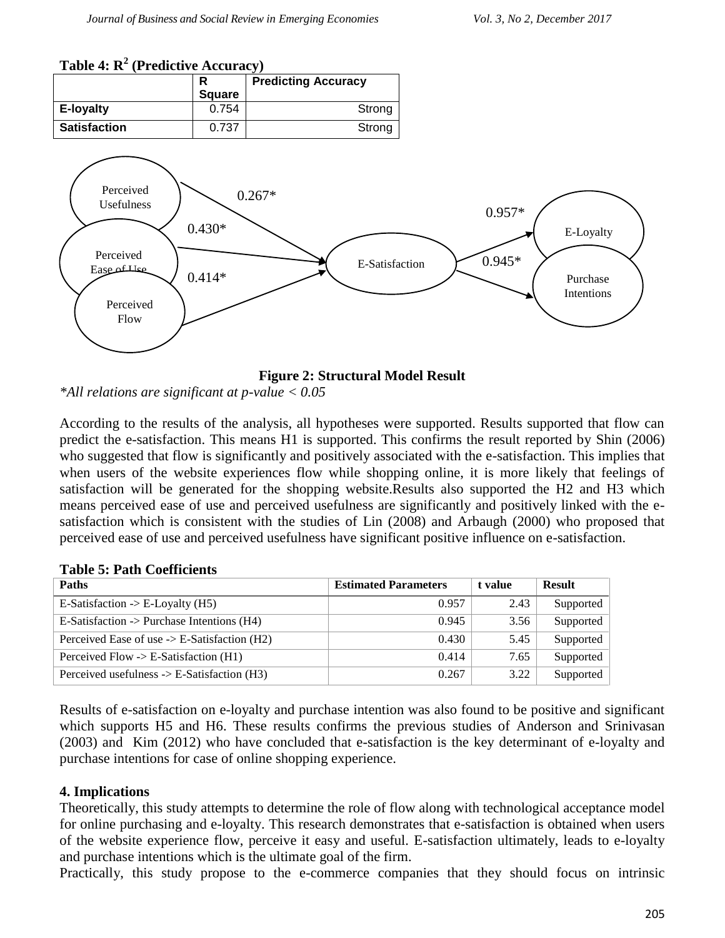# **Table 4: R<sup>2</sup> (Predictive Accuracy)**



**Figure 2: Structural Model Result**

*\*All relations are significant at p-value < 0.05*

According to the results of the analysis, all hypotheses were supported. Results supported that flow can predict the e-satisfaction. This means H1 is supported. This confirms the result reported by [Shin \(2006\)](#page-9-22) who suggested that flow is significantly and positively associated with the e-satisfaction. This implies that when users of the website experiences flow while shopping online, it is more likely that feelings of satisfaction will be generated for the shopping website.Results also supported the H2 and H3 which means perceived ease of use and perceived usefulness are significantly and positively linked with the esatisfaction which is consistent with the studies of [Lin \(2008\)](#page-9-17) and [Arbaugh \(2000\)](#page-7-10) who proposed that perceived ease of use and perceived usefulness have significant positive influence on e-satisfaction.

| <b>Paths</b>                                           | <b>Estimated Parameters</b> | t value | <b>Result</b> |
|--------------------------------------------------------|-----------------------------|---------|---------------|
| E-Satisfaction $\rightarrow$ E-Loyalty (H5)            | 0.957                       | 2.43    | Supported     |
| E-Satisfaction -> Purchase Intentions $(H4)$           | 0.945                       | 3.56    | Supported     |
| Perceived Ease of use $\geq$ E-Satisfaction (H2)       | 0.430                       | 5.45    | Supported     |
| Perceived Flow $\geq$ E-Satisfaction (H1)              | 0.414                       | 7.65    | Supported     |
| Perceived usefulness $\rightarrow$ E-Satisfaction (H3) | 0.267                       | 3.22    | Supported     |

#### **Table 5: Path Coefficients**

Results of e-satisfaction on e-loyalty and purchase intention was also found to be positive and significant which supports H5 and H6. These results confirms the previous studies of [Anderson and Srinivasan](#page-7-0)  (2003) and [Kim \(2012\)](#page-8-21) who have concluded that e-satisfaction is the key determinant of e-loyalty and purchase intentions for case of online shopping experience.

#### **4. Implications**

Theoretically, this study attempts to determine the role of flow along with technological acceptance model for online purchasing and e-loyalty. This research demonstrates that e-satisfaction is obtained when users of the website experience flow, perceive it easy and useful. E-satisfaction ultimately, leads to e-loyalty and purchase intentions which is the ultimate goal of the firm.

Practically, this study propose to the e-commerce companies that they should focus on intrinsic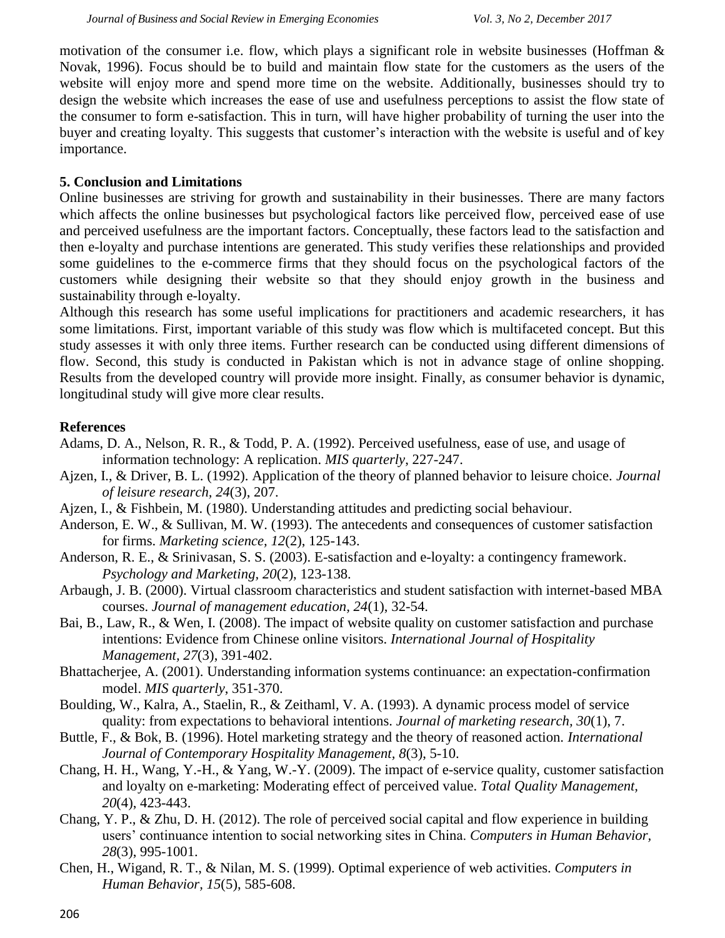motivation of the consumer i.e. flow, which plays a significant role in website businesses [\(Hoffman &](#page-8-2)  [Novak, 1996\)](#page-8-2). Focus should be to build and maintain flow state for the customers as the users of the website will enjoy more and spend more time on the website. Additionally, businesses should try to design the website which increases the ease of use and usefulness perceptions to assist the flow state of the consumer to form e-satisfaction. This in turn, will have higher probability of turning the user into the buyer and creating loyalty. This suggests that customer"s interaction with the website is useful and of key importance.

## **5. Conclusion and Limitations**

Online businesses are striving for growth and sustainability in their businesses. There are many factors which affects the online businesses but psychological factors like perceived flow, perceived ease of use and perceived usefulness are the important factors. Conceptually, these factors lead to the satisfaction and then e-loyalty and purchase intentions are generated. This study verifies these relationships and provided some guidelines to the e-commerce firms that they should focus on the psychological factors of the customers while designing their website so that they should enjoy growth in the business and sustainability through e-loyalty.

Although this research has some useful implications for practitioners and academic researchers, it has some limitations. First, important variable of this study was flow which is multifaceted concept. But this study assesses it with only three items. Further research can be conducted using different dimensions of flow. Second, this study is conducted in Pakistan which is not in advance stage of online shopping. Results from the developed country will provide more insight. Finally, as consumer behavior is dynamic, longitudinal study will give more clear results.

## **References**

- <span id="page-7-8"></span>Adams, D. A., Nelson, R. R., & Todd, P. A. (1992). Perceived usefulness, ease of use, and usage of information technology: A replication. *MIS quarterly*, 227-247.
- <span id="page-7-5"></span>Ajzen, I., & Driver, B. L. (1992). Application of the theory of planned behavior to leisure choice. *Journal of leisure research, 24*(3), 207.
- <span id="page-7-4"></span>Ajzen, I., & Fishbein, M. (1980). Understanding attitudes and predicting social behaviour.
- <span id="page-7-12"></span>Anderson, E. W., & Sullivan, M. W. (1993). The antecedents and consequences of customer satisfaction for firms. *Marketing science, 12*(2), 125-143.
- <span id="page-7-0"></span>Anderson, R. E., & Srinivasan, S. S. (2003). E-satisfaction and e-loyalty: a contingency framework. *Psychology and Marketing, 20*(2), 123-138.
- <span id="page-7-10"></span>Arbaugh, J. B. (2000). Virtual classroom characteristics and student satisfaction with internet-based MBA courses. *Journal of management education, 24*(1), 32-54.
- <span id="page-7-11"></span>Bai, B., Law, R., & Wen, I. (2008). The impact of website quality on customer satisfaction and purchase intentions: Evidence from Chinese online visitors. *International Journal of Hospitality Management, 27*(3), 391-402.
- <span id="page-7-3"></span>Bhattacherjee, A. (2001). Understanding information systems continuance: an expectation-confirmation model. *MIS quarterly*, 351-370.
- <span id="page-7-7"></span>Boulding, W., Kalra, A., Staelin, R., & Zeithaml, V. A. (1993). A dynamic process model of service quality: from expectations to behavioral intentions. *Journal of marketing research, 30*(1), 7.
- <span id="page-7-6"></span>Buttle, F., & Bok, B. (1996). Hotel marketing strategy and the theory of reasoned action. *International Journal of Contemporary Hospitality Management, 8*(3), 5-10.
- <span id="page-7-1"></span>Chang, H. H., Wang, Y.-H., & Yang, W.-Y. (2009). The impact of e-service quality, customer satisfaction and loyalty on e-marketing: Moderating effect of perceived value. *Total Quality Management, 20*(4), 423-443.
- <span id="page-7-2"></span>Chang, Y. P., & Zhu, D. H. (2012). The role of perceived social capital and flow experience in building users" continuance intention to social networking sites in China. *Computers in Human Behavior, 28*(3), 995-1001.
- <span id="page-7-9"></span>Chen, H., Wigand, R. T., & Nilan, M. S. (1999). Optimal experience of web activities. *Computers in Human Behavior, 15*(5), 585-608.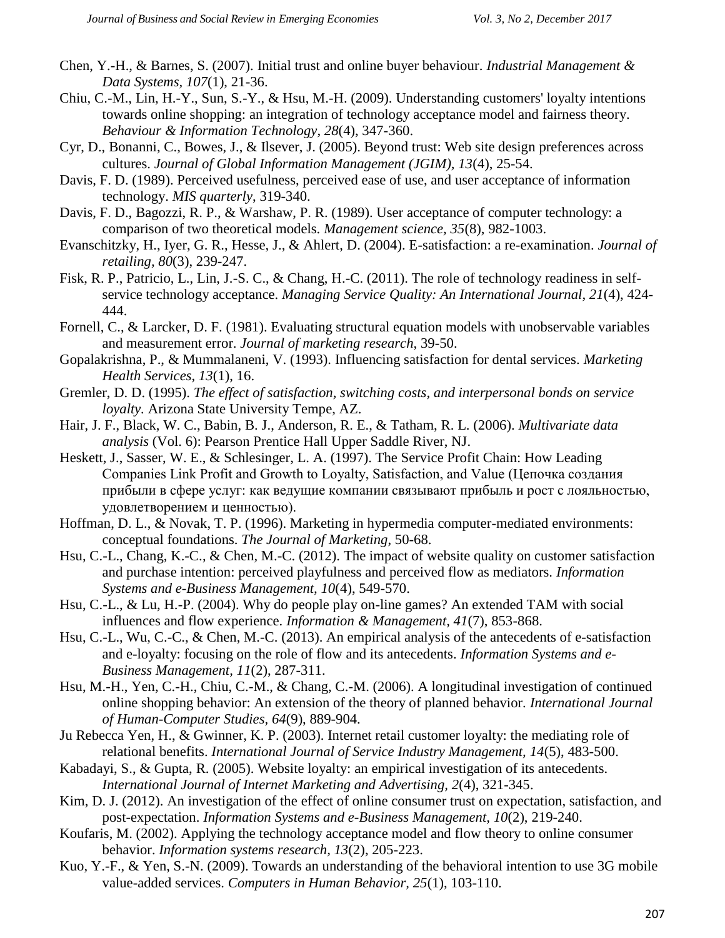- <span id="page-8-18"></span>Chen, Y.-H., & Barnes, S. (2007). Initial trust and online buyer behaviour. *Industrial Management & Data Systems, 107*(1), 21-36.
- <span id="page-8-14"></span>Chiu, C.-M., Lin, H.-Y., Sun, S.-Y., & Hsu, M.-H. (2009). Understanding customers' loyalty intentions towards online shopping: an integration of technology acceptance model and fairness theory. *Behaviour & Information Technology, 28*(4), 347-360.
- <span id="page-8-6"></span>Cyr, D., Bonanni, C., Bowes, J., & Ilsever, J. (2005). Beyond trust: Web site design preferences across cultures. *Journal of Global Information Management (JGIM), 13*(4), 25-54.
- <span id="page-8-8"></span>Davis, F. D. (1989). Perceived usefulness, perceived ease of use, and user acceptance of information technology. *MIS quarterly*, 319-340.
- <span id="page-8-9"></span>Davis, F. D., Bagozzi, R. P., & Warshaw, P. R. (1989). User acceptance of computer technology: a comparison of two theoretical models. *Management science, 35*(8), 982-1003.
- <span id="page-8-1"></span>Evanschitzky, H., Iyer, G. R., Hesse, J., & Ahlert, D. (2004). E-satisfaction: a re-examination. *Journal of retailing, 80*(3), 239-247.
- <span id="page-8-10"></span>Fisk, R. P., Patricio, L., Lin, J.-S. C., & Chang, H.-C. (2011). The role of technology readiness in selfservice technology acceptance. *Managing Service Quality: An International Journal, 21*(4), 424- 444.
- <span id="page-8-20"></span>Fornell, C., & Larcker, D. F. (1981). Evaluating structural equation models with unobservable variables and measurement error. *Journal of marketing research*, 39-50.
- <span id="page-8-15"></span>Gopalakrishna, P., & Mummalaneni, V. (1993). Influencing satisfaction for dental services. *Marketing Health Services, 13*(1), 16.
- <span id="page-8-5"></span>Gremler, D. D. (1995). *The effect of satisfaction, switching costs, and interpersonal bonds on service loyalty.* Arizona State University Tempe, AZ.
- <span id="page-8-19"></span>Hair, J. F., Black, W. C., Babin, B. J., Anderson, R. E., & Tatham, R. L. (2006). *Multivariate data analysis* (Vol. 6): Pearson Prentice Hall Upper Saddle River, NJ.
- <span id="page-8-7"></span>Heskett, J., Sasser, W. E., & Schlesinger, L. A. (1997). The Service Profit Chain: How Leading Companies Link Profit and Growth to Loyalty, Satisfaction, and Value (Цепочка создания прибыли в сфере услуг: как ведущие компании связывают прибыль и рост с лояльностью, удовлетворением и ценностью).
- <span id="page-8-2"></span>Hoffman, D. L., & Novak, T. P. (1996). Marketing in hypermedia computer-mediated environments: conceptual foundations. *The Journal of Marketing*, 50-68.
- <span id="page-8-3"></span>Hsu, C.-L., Chang, K.-C., & Chen, M.-C. (2012). The impact of website quality on customer satisfaction and purchase intention: perceived playfulness and perceived flow as mediators. *Information Systems and e-Business Management, 10*(4), 549-570.
- <span id="page-8-12"></span>Hsu, C.-L., & Lu, H.-P. (2004). Why do people play on-line games? An extended TAM with social influences and flow experience. *Information & Management, 41*(7), 853-868.
- <span id="page-8-0"></span>Hsu, C.-L., Wu, C.-C., & Chen, M.-C. (2013). An empirical analysis of the antecedents of e-satisfaction and e-loyalty: focusing on the role of flow and its antecedents. *Information Systems and e-Business Management, 11*(2), 287-311.
- <span id="page-8-4"></span>Hsu, M.-H., Yen, C.-H., Chiu, C.-M., & Chang, C.-M. (2006). A longitudinal investigation of continued online shopping behavior: An extension of the theory of planned behavior. *International Journal of Human-Computer Studies, 64*(9), 889-904.
- <span id="page-8-16"></span>Ju Rebecca Yen, H., & Gwinner, K. P. (2003). Internet retail customer loyalty: the mediating role of relational benefits. *International Journal of Service Industry Management, 14*(5), 483-500.
- <span id="page-8-13"></span>Kabadayi, S., & Gupta, R. (2005). Website loyalty: an empirical investigation of its antecedents. *International Journal of Internet Marketing and Advertising, 2*(4), 321-345.
- <span id="page-8-21"></span>Kim, D. J. (2012). An investigation of the effect of online consumer trust on expectation, satisfaction, and post-expectation. *Information Systems and e-Business Management, 10*(2), 219-240.
- <span id="page-8-17"></span>Koufaris, M. (2002). Applying the technology acceptance model and flow theory to online consumer behavior. *Information systems research, 13*(2), 205-223.
- <span id="page-8-11"></span>Kuo, Y.-F., & Yen, S.-N. (2009). Towards an understanding of the behavioral intention to use 3G mobile value-added services. *Computers in Human Behavior, 25*(1), 103-110.